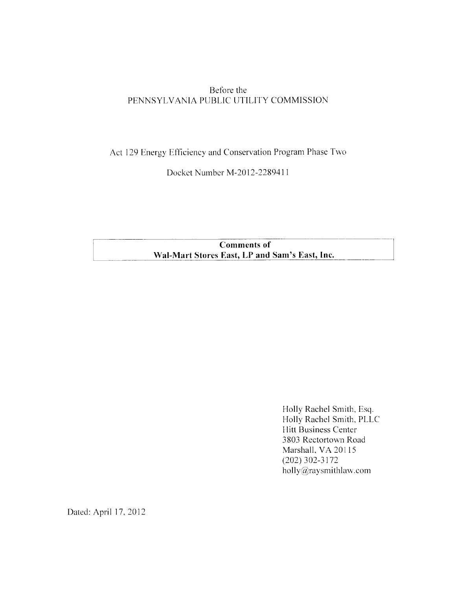# Before the PENNSYLVANIA PUBLIC UTILITY COMMISSION

Act 129 Energy Efficiency and Conservation Program Phase Two

Docket Number M-2012-2289411

**Comments of** Wal-Mart Stores East, LP and Sam's East, Inc.

> Holly Rachel Smith, Esq. Holly Rachel Smith, PLLC Hitt Business Center 3803 Rectortown Road Marshall, VA 20115  $(202)$  302-3172 holly@raysmithlaw.com

Dated: April 17, 2012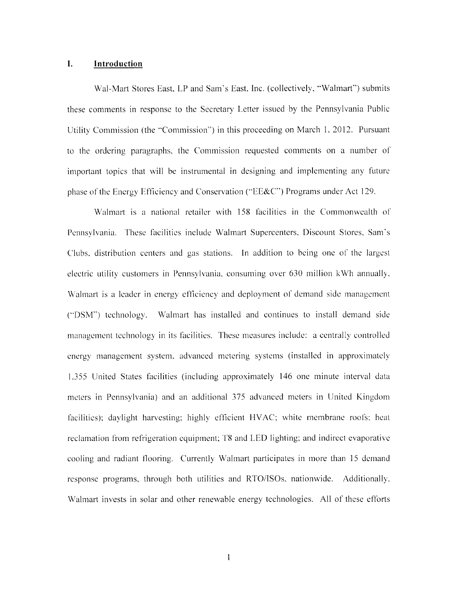### L. Introduction

Wal-Mart Stores East, LP and Sam's East, Inc. (collectively, "Walmart") submits these comments in response to the Secretary Letter issued by the Pennsylvania Public Utility Commission (the "Commission") in this proceeding on March 1, 2012. Pursuant to the ordering paragraphs, the Commission requested comments on a number of important topics that will be instrumental in designing and implementing any future phase of the Energy Efficiency and Conservation ("EE&C") Programs under Act 129.

Walmart is a national retailer with 158 facilities in the Commonwealth of Pennsylvania. These facilities include Walmart Supercenters, Discount Stores, Sam's Clubs, distribution centers and gas stations. In addition to being one of the largest electric utility customers in Pennsylvania, consuming over 630 million kWh annually, Walmart is a leader in energy efficiency and deployment of demand side management ("DSM") technology. Walmart has installed and continues to install demand side management technology in its facilities. These measures include: a centrally controlled energy management system, advanced metering systems (installed in approximately 1,355 United States facilities (including approximately 146 one minute interval data meters in Pennsylvania) and an additional 375 advanced meters in United Kingdom facilities); daylight harvesting; highly efficient HVAC; white membrane roofs; heat reclamation from refrigeration equipment; T8 and LED lighting; and indirect evaporative cooling and radiant flooring. Currently Walmart participates in more than 15 demand response programs, through both utilities and RTO/ISOs, nationwide. Additionally, Walmart invests in solar and other renewable energy technologies. All of these efforts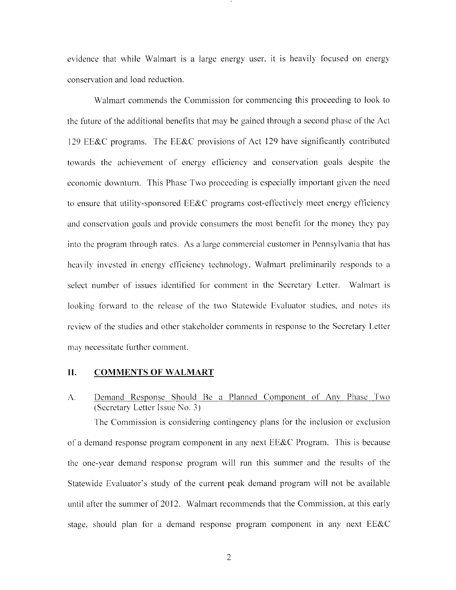evidence that while Walmart is a large energy user, it is heavily focused on energy conservation and load reduction.

Walmart commends the Commission for commencing this proceeding to look to the future of the additional benefits that may be gained through a second phase of the Act 129 EE&C programs. The EE&C provisions of Act 129 have significantly contributed towards the achievement of energy efficiency and conservation goals despite the economic downturn. This Phase Two proceeding is especially important given the need to ensure that utility-sponsored EE&C programs cost-effectively meet energy efficiency and conservation goals and provide consumers the most benefit for the money they pay into the program through rates. As a large commercial customer in Pennsylvania that has heavily invested in energy efficiency technology, Walmart preliminarily responds to a select number of issues identified for comment in the Secretary Letter. Walmart is looking forward to the release of the two Statewide Evaluator studies, and notes its review of the studies and other stakeholder comments in response to the Secretary Letter may necessitate further comment.

#### $II.$ **COMMENTS OF WALMART**

Demand Response Should Be a Planned Component of Any Phase Two  $\Lambda$ . (Secretary Letter Issue No. 3)

The Commission is considering contingency plans for the inclusion or exclusion of a demand response program component in any next  $EE&C$  Program. This is because the one-year demand response program will run this summer and the results of the Statewide Evaluator's study of the current peak demand program will not be available until after the summer of 2012. Walmart recommends that the Commission, at this early stage, should plan for a demand response program component in any next EE&C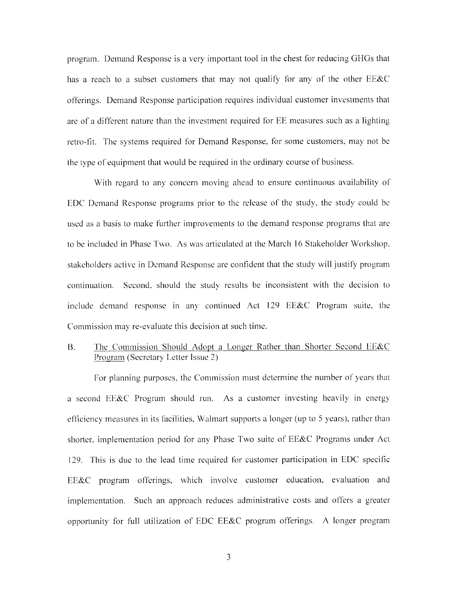program. Demand Response is a very important tool in the chest for reducing GHGs that has a reach to a subset customers that may not qualify for any of the other EE&C offerings. Demand Response participation requires individual customer investments that are of a different nature than the investment required for EE measures such as a lighting retro-fit. The systems required for Demand Response, for some customers, may not be the type of equipment that would be required in the ordinary course of business.

With regard to any concern moving ahead to ensure continuous availability of EDC Demand Response programs prior to the release of the study, the study could be used as a basis to make further improvements to the demand response programs that are to be included in Phase Two. As was articulated at the March 16 Stakeholder Workshop, stakeholders active in Demand Response are confident that the study will justify program continuation. Second, should the study results be inconsistent with the decision to include demand response in any continued Act 129 EE&C Program suite, the Commission may re-evaluate this decision at such time.

# The Commission Should Adopt a Longer Rather than Shorter Second EE&C  $B.$ Program (Secretary Letter Issue 2)

For planning purposes, the Commission must determine the number of years that a second EE&C Program should run. As a customer investing heavily in energy efficiency measures in its facilities, Walmart supports a longer (up to 5 years), rather than shorter, implementation period for any Phase Two suite of EE&C Programs under Act 129. This is due to the lead time required for customer participation in EDC specific EE&C program offerings, which involve customer education, evaluation and implementation. Such an approach reduces administrative costs and offers a greater opportunity for full utilization of EDC EE&C program offerings. A longer program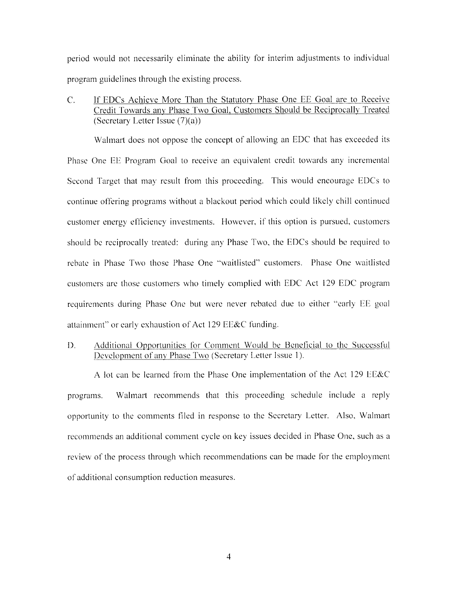period would not necessarily eliminate the ability for interim adjustments to individual program guidelines through the existing process.

If EDCs Achieve More Than the Statutory Phase One EE Goal are to Receive  $C_{\cdot}$ Credit Towards any Phase Two Goal, Customers Should be Reciprocally Treated (Secretary Letter Issue  $(7)(a)$ )

Walmart does not oppose the concept of allowing an EDC that has exceeded its Phase One EE Program Goal to receive an equivalent credit towards any incremental Second Target that may result from this proceeding. This would encourage EDCs to continue offering programs without a blackout period which could likely chill continued customer energy efficiency investments. However, if this option is pursued, customers should be reciprocally treated: during any Phase Two, the EDCs should be required to rebate in Phase Two those Phase One "waitlisted" customers. Phase One waitlisted customers are those customers who timely complied with EDC Act 129 EDC program requirements during Phase One but were never rebated due to either "early EE goal attainment" or early exhaustion of Act 129 EE&C funding.

Additional Opportunities for Comment Would be Beneficial to the Successful D. Development of any Phase Two (Secretary Letter Issue 1).

A lot can be learned from the Phase One implementation of the Act 129 EE&C Walmart recommends that this proceeding schedule include a reply programs. opportunity to the comments filed in response to the Secretary Letter. Also, Walmart recommends an additional comment cycle on key issues decided in Phase One, such as a review of the process through which recommendations can be made for the employment of additional consumption reduction measures.